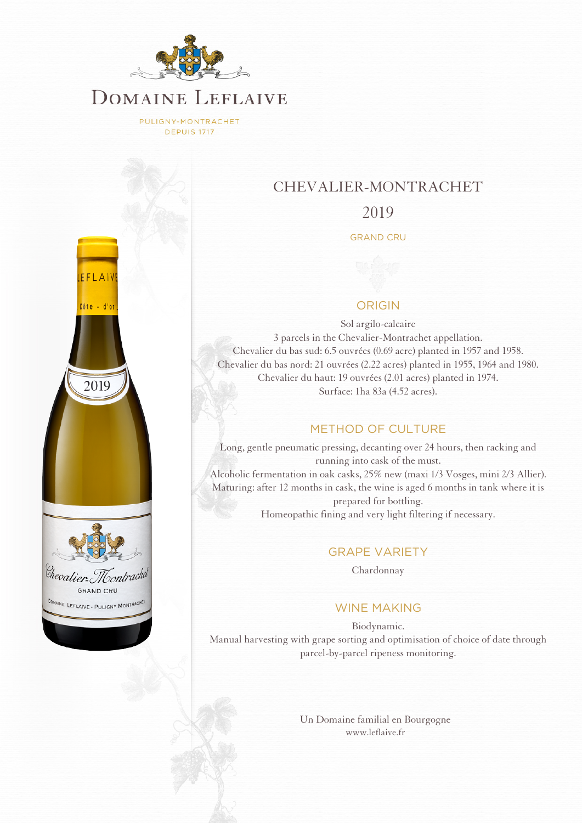

PULIGNY-MONTRACHET **DEPUIS 1717** 



## CHEVALIER-MONTRACHET

## 2019

#### GRAND CRU

## ORIGIN

Sol argilo-calcaire 3 parcels in the Chevalier-Montrachet appellation. Chevalier du bas sud: 6.5 ouvrées (0.69 acre) planted in 1957 and 1958. Chevalier du bas nord: 21 ouvrées (2.22 acres) planted in 1955, 1964 and 1980. Chevalier du haut: 19 ouvrées (2.01 acres) planted in 1974. Surface: 1ha 83a (4.52 acres).

#### METHOD OF CULTURE

Long, gentle pneumatic pressing, decanting over 24 hours, then racking and running into cask of the must. Alcoholic fermentation in oak casks, 25% new (maxi 1/3 Vosges, mini 2/3 Allier). Maturing: after 12 months in cask, the wine is aged 6 months in tank where it is prepared for bottling. Homeopathic fining and very light filtering if necessary.

## GRAPE VARIETY

Chardonnay

## WINE MAKING

Biodynamic. Manual harvesting with grape sorting and optimisation of choice of date through parcel-by-parcel ripeness monitoring.

> [Un Domaine familial en Bourgogne](http://www.leflaive.fr) [www.leflaive.fr](http://www.leflaive.fr)